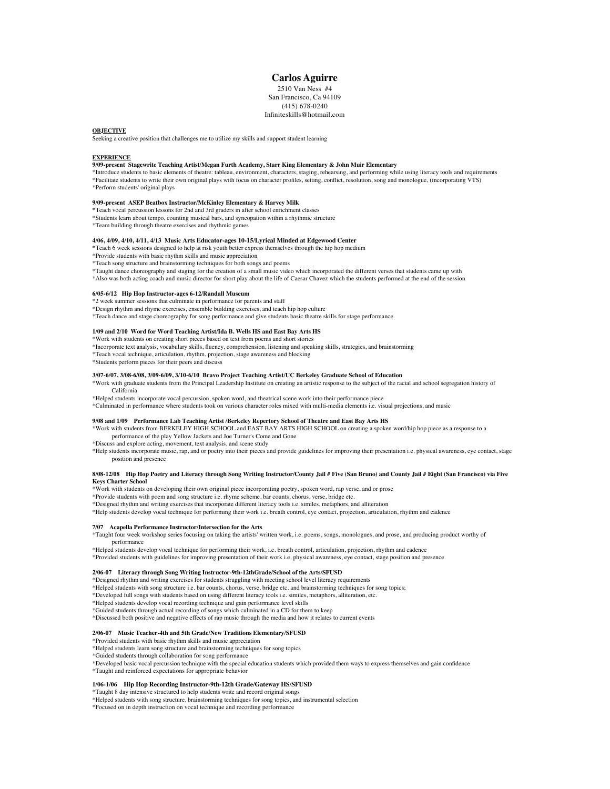## **Carlos Aguirre**

2510 Van Ness #4 San Francisco, Ca 94109 (415) 678-0240 Infiniteskills@hotmail.com

## **OBJECTIVE**

Seeking a creative position that challenges me to utilize my skills and support student learning

### **EXPERIENCE**

## **9/09-present Stagewrite Teaching Artist/Megan Furth Academy, Starr King Elementary & John Muir Elementary**

\*Introduce students to basic elements of theatre: tableau, environment, characters, staging, rehearsing, and performing while using literacy tools and requirements \*Facilitate students to write their own original plays with focus on character profiles, setting, conflict, resolution, song and monologue, (incorporating VTS) \*Perform students' original plays

## **9/09-present ASEP Beatbox Instructor/McKinley Elementary & Harvey Milk**

- **\***Teach vocal percussion lessons for 2nd and 3rd graders in after school enrichment classes
- \*Students learn about tempo, counting musical bars, and syncopation within a rhythmic structure
- \*Team building through theatre exercises and rhythmic games

## **4/06, 4/09, 4/10, 4/11, 4/13 Music Arts Educator-ages 10-15/Lyrical Minded at Edgewood Center**

- **\***Teach 6 week sessions designed to help at risk youth better express themselves through the hip hop medium
- \*Provide students with basic rhythm skills and music appreciation
- \*Teach song structure and brainstorming techniques for both songs and poems
- \*Taught dance choreography and staging for the creation of a small music video which incorporated the different verses that students came up with
- \*Also was both acting coach and music director for short play about the life of Caesar Chavez which the students performed at the end of the session

## **6/05-6/12 Hip Hop Instructor-ages 6-12/Randall Museum**

\*2 week summer sessions that culminate in performance for parents and staff \*Design rhythm and rhyme exercises, ensemble building exercises, and teach hip hop culture

\*Teach dance and stage choreography for song performance and give students basic theatre skills for stage performance

## **1/09 and 2/10 Word for Word Teaching Artist/Ida B. Wells HS and East Bay Arts HS**

- \*Work with students on creating short pieces based on text from poems and short stories
- \*Incorporate text analysis, vocabulary skills, fluency, comprehension, listening and speaking skills, strategies, and brainstorming
- \*Teach vocal technique, articulation, rhythm, projection, stage awareness and blocking
- \*Students perform pieces for their peers and discuss

#### **3/07-6/07, 3/08-6/08, 3/09-6/09, 3/10-6/10 Bravo Project Teaching Artist/UC Berkeley Graduate School of Education**

- \*Work with graduate students from the Principal Leadership Institute on creating an artistic response to the subject of the racial and school segregation history of California
- \*Helped students incorporate vocal percussion, spoken word, and theatrical scene work into their performance piece \*Culminated in performance where students took on various character roles mixed with multi-media elements i.e. visual projections, and music
- 

## **9/08 and 1/09 Performance Lab Teaching Artist /Berkeley Repertory School of Theatre and East Bay Arts HS**

\*Work with students from BERKELEY HIGH SCHOOL and EAST BAY ARTS HIGH SCHOOL on creating a spoken word/hip hop piece as a response to a performance of the play Yellow Jackets and Joe Turner's Come and Gone

\*Discuss and explore acting, movement, text analysis, and scene study

\*Help students incorporate music, rap, and or poetry into their pieces and provide guidelines for improving their presentation i.e. physical awareness, eye contact, stage position and presence

## **8/08-12/08 Hip Hop Poetry and Literacy through Song Writing Instructor/County Jail # Five (San Bruno) and County Jail # Eight (San Francisco) via Five Keys Charter School**

\*Work with students on developing their own original piece incorporating poetry, spoken word, rap verse, and or prose

\*Provide students with poem and song structure i.e. rhyme scheme, bar counts, chorus, verse, bridge etc.

\*Designed rhythm and writing exercises that incorporate different literacy tools i.e. similes, metaphors, and alliteration

\*Help students develop vocal technique for performing their work i.e. breath control, eye contact, projection, articulation, rhythm and cadence

## **7/07 Acapella Performance Instructor/Intersection for the Arts**

\*Taught four week workshop series focusing on taking the artists' written work, i.e. poems, songs, monologues, and prose, and producing product worthy of performance

\*Helped students develop vocal technique for performing their work, i.e. breath control, articulation, projection, rhythm and cadence \*Provided students with guidelines for improving presentation of their work i.e. physical awareness, eye contact, stage position and presence

#### **2/06-07 Literacy through Song Writing Instructor-9th-12thGrade/School of the Arts/SFUSD**

\*Designed rhythm and writing exercises for students struggling with meeting school level literacy requirements

\*Helped students with song structure i.e. bar counts, chorus, verse, bridge etc. and brainstorming techniques for song topics;

\*Developed full songs with students based on using different literacy tools i.e. similes, metaphors, alliteration, etc.

\*Helped students develop vocal recording technique and gain performance level skills

\*Guided students through actual recording of songs which culminated in a CD for them to keep

\*Discussed both positive and negative effects of rap music through the media and how it relates to current events

#### **2/06-07 Music Teacher-4th and 5th Grade/New Traditions Elementary/SFUSD**

\*Provided students with basic rhythm skills and music appreciation

\*Helped students learn song structure and brainstorming techniques for song topics

\*Guided students through collaboration for song performance

\*Developed basic vocal percussion technique with the special education students which provided them ways to express themselves and gain confidence \*Taught and reinforced expectations for appropriate behavior

## **1/06-1/06 Hip Hop Recording Instructor-9th-12th Grade/Gateway HS/SFUSD**

\*Taught 8 day intensive structured to help students write and record original songs

\*Helped students with song structure, brainstorming techniques for song topics, and instrumental selection

\*Focused on in depth instruction on vocal technique and recording performance